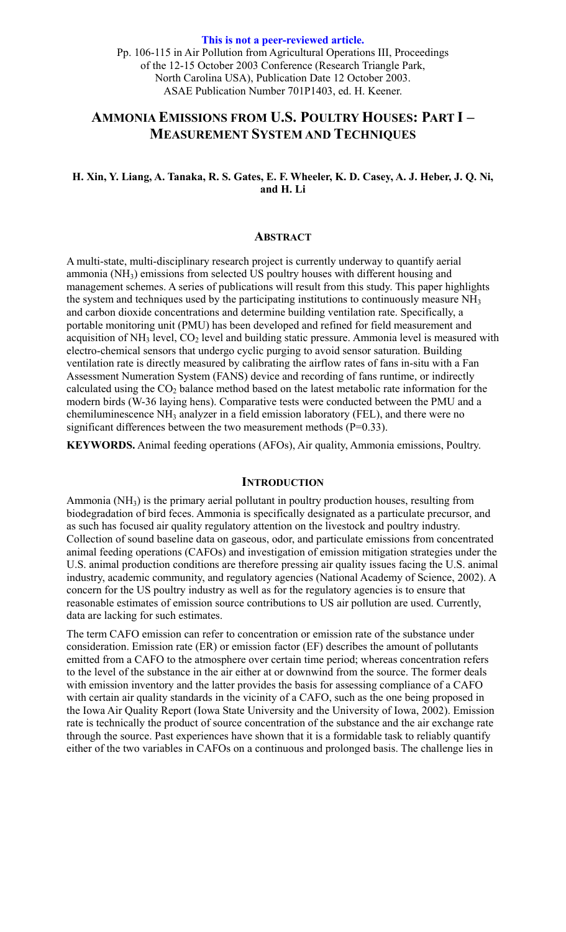**This is not a peer-reviewed article.**  Pp. 106-115 in Air Pollution from Agricultural Operations III, Proceedings of the 12-15 October 2003 Conference (Research Triangle Park, North Carolina USA), Publication Date 12 October 2003. ASAE Publication Number 701P1403, ed. H. Keener.

# **AMMONIA EMISSIONS FROM U.S. POULTRY HOUSES: PART I – MEASUREMENT SYSTEM AND TECHNIQUES**

# **H. Xin, Y. Liang, A. Tanaka, R. S. Gates, E. F. Wheeler, K. D. Casey, A. J. Heber, J. Q. Ni, and H. Li**

#### **ABSTRACT**

A multi-state, multi-disciplinary research project is currently underway to quantify aerial ammonia (NH3) emissions from selected US poultry houses with different housing and management schemes. A series of publications will result from this study. This paper highlights the system and techniques used by the participating institutions to continuously measure NH<sub>3</sub> and carbon dioxide concentrations and determine building ventilation rate. Specifically, a portable monitoring unit (PMU) has been developed and refined for field measurement and acquisition of  $NH<sub>3</sub>$  level,  $CO<sub>2</sub>$  level and building static pressure. Ammonia level is measured with electro-chemical sensors that undergo cyclic purging to avoid sensor saturation. Building ventilation rate is directly measured by calibrating the airflow rates of fans in-situ with a Fan Assessment Numeration System (FANS) device and recording of fans runtime, or indirectly calculated using the  $CO<sub>2</sub>$  balance method based on the latest metabolic rate information for the modern birds (W-36 laying hens). Comparative tests were conducted between the PMU and a chemiluminescence NH3 analyzer in a field emission laboratory (FEL), and there were no significant differences between the two measurement methods  $(P=0.33)$ .

**KEYWORDS.** Animal feeding operations (AFOs), Air quality, Ammonia emissions, Poultry.

#### **INTRODUCTION**

Ammonia (NH3) is the primary aerial pollutant in poultry production houses, resulting from biodegradation of bird feces. Ammonia is specifically designated as a particulate precursor, and as such has focused air quality regulatory attention on the livestock and poultry industry. Collection of sound baseline data on gaseous, odor, and particulate emissions from concentrated animal feeding operations (CAFOs) and investigation of emission mitigation strategies under the U.S. animal production conditions are therefore pressing air quality issues facing the U.S. animal industry, academic community, and regulatory agencies (National Academy of Science, 2002). A concern for the US poultry industry as well as for the regulatory agencies is to ensure that reasonable estimates of emission source contributions to US air pollution are used. Currently, data are lacking for such estimates.

The term CAFO emission can refer to concentration or emission rate of the substance under consideration. Emission rate (ER) or emission factor (EF) describes the amount of pollutants emitted from a CAFO to the atmosphere over certain time period; whereas concentration refers to the level of the substance in the air either at or downwind from the source. The former deals with emission inventory and the latter provides the basis for assessing compliance of a CAFO with certain air quality standards in the vicinity of a CAFO, such as the one being proposed in the Iowa Air Quality Report (Iowa State University and the University of Iowa, 2002). Emission rate is technically the product of source concentration of the substance and the air exchange rate through the source. Past experiences have shown that it is a formidable task to reliably quantify either of the two variables in CAFOs on a continuous and prolonged basis. The challenge lies in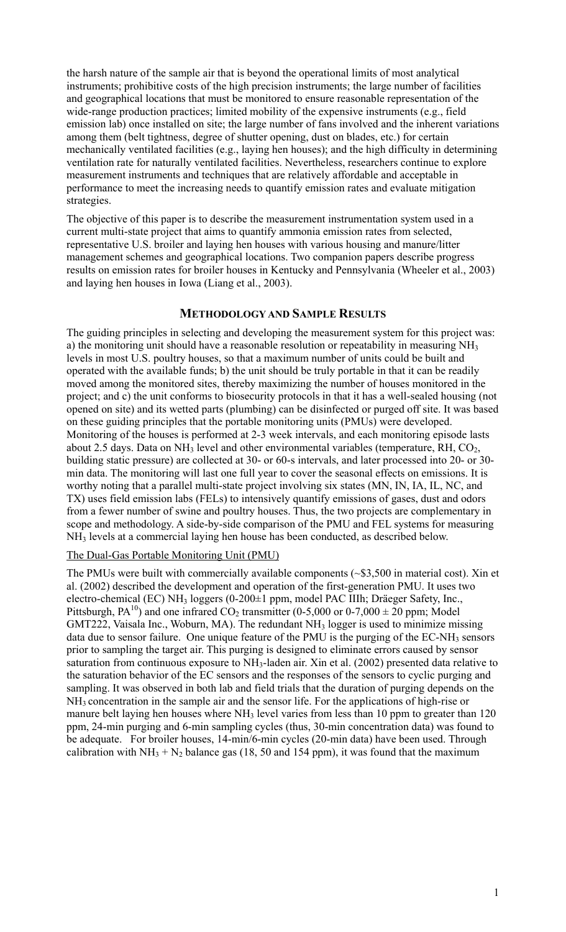the harsh nature of the sample air that is beyond the operational limits of most analytical instruments; prohibitive costs of the high precision instruments; the large number of facilities and geographical locations that must be monitored to ensure reasonable representation of the wide-range production practices; limited mobility of the expensive instruments (e.g., field emission lab) once installed on site; the large number of fans involved and the inherent variations among them (belt tightness, degree of shutter opening, dust on blades, etc.) for certain mechanically ventilated facilities (e.g., laying hen houses); and the high difficulty in determining ventilation rate for naturally ventilated facilities. Nevertheless, researchers continue to explore measurement instruments and techniques that are relatively affordable and acceptable in performance to meet the increasing needs to quantify emission rates and evaluate mitigation strategies.

The objective of this paper is to describe the measurement instrumentation system used in a current multi-state project that aims to quantify ammonia emission rates from selected, representative U.S. broiler and laying hen houses with various housing and manure/litter management schemes and geographical locations. Two companion papers describe progress results on emission rates for broiler houses in Kentucky and Pennsylvania (Wheeler et al., 2003) and laying hen houses in Iowa (Liang et al., 2003).

# **METHODOLOGY AND SAMPLE RESULTS**

The guiding principles in selecting and developing the measurement system for this project was: a) the monitoring unit should have a reasonable resolution or repeatability in measuring NH<sub>3</sub> levels in most U.S. poultry houses, so that a maximum number of units could be built and operated with the available funds; b) the unit should be truly portable in that it can be readily moved among the monitored sites, thereby maximizing the number of houses monitored in the project; and c) the unit conforms to biosecurity protocols in that it has a well-sealed housing (not opened on site) and its wetted parts (plumbing) can be disinfected or purged off site. It was based on these guiding principles that the portable monitoring units (PMUs) were developed. Monitoring of the houses is performed at 2-3 week intervals, and each monitoring episode lasts about 2.5 days. Data on  $NH<sub>3</sub>$  level and other environmental variables (temperature, RH, CO<sub>2</sub>, building static pressure) are collected at 30- or 60-s intervals, and later processed into 20- or 30 min data. The monitoring will last one full year to cover the seasonal effects on emissions. It is worthy noting that a parallel multi-state project involving six states (MN, IN, IA, IL, NC, and TX) uses field emission labs (FELs) to intensively quantify emissions of gases, dust and odors from a fewer number of swine and poultry houses. Thus, the two projects are complementary in scope and methodology. A side-by-side comparison of the PMU and FEL systems for measuring NH3 levels at a commercial laying hen house has been conducted, as described below.

## The Dual-Gas Portable Monitoring Unit (PMU)

The PMUs were built with commercially available components (~\$3,500 in material cost). Xin et al. (2002) described the development and operation of the first-generation PMU. It uses two electro-chemical (EC) NH3 loggers (0-200±1 ppm, model PAC IIIh; Dräeger Safety, Inc., Pittsburgh,  $PA^{10}$ ) and one infrared  $CO_2$  transmitter (0-5,000 or 0-7,000  $\pm$  20 ppm; Model GMT222, Vaisala Inc., Woburn, MA). The redundant NH<sub>3</sub> logger is used to minimize missing data due to sensor failure. One unique feature of the PMU is the purging of the  $EC-NH<sub>3</sub>$  sensors prior to sampling the target air. This purging is designed to eliminate errors caused by sensor saturation from continuous exposure to NH3-laden air. Xin et al. (2002) presented data relative to the saturation behavior of the EC sensors and the responses of the sensors to cyclic purging and sampling. It was observed in both lab and field trials that the duration of purging depends on the NH3 concentration in the sample air and the sensor life. For the applications of high-rise or manure belt laying hen houses where NH<sub>3</sub> level varies from less than 10 ppm to greater than 120 ppm, 24-min purging and 6-min sampling cycles (thus, 30-min concentration data) was found to be adequate. For broiler houses, 14-min/6-min cycles (20-min data) have been used. Through calibration with  $NH_3 + N_2$  balance gas (18, 50 and 154 ppm), it was found that the maximum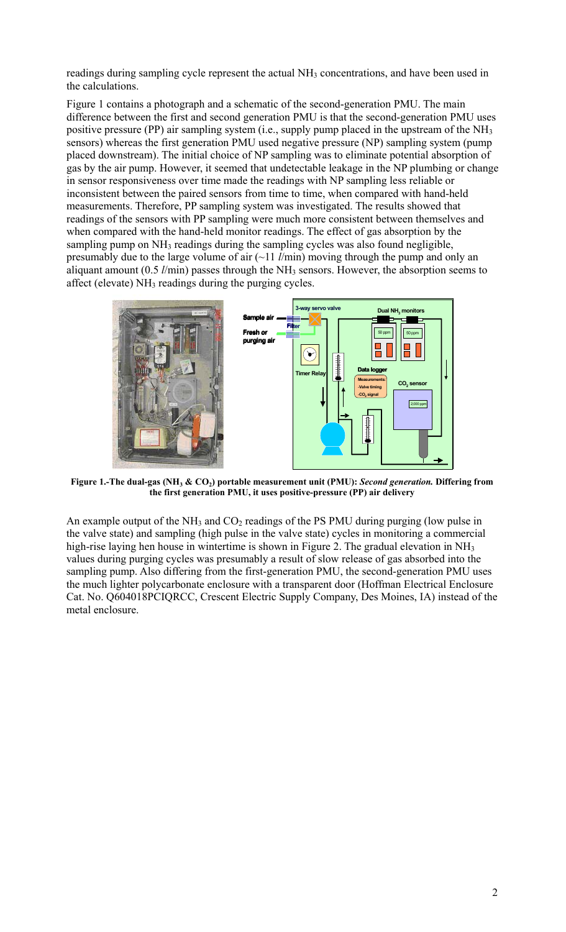readings during sampling cycle represent the actual NH<sub>3</sub> concentrations, and have been used in the calculations.

Figure 1 contains a photograph and a schematic of the second-generation PMU. The main difference between the first and second generation PMU is that the second-generation PMU uses positive pressure (PP) air sampling system (i.e., supply pump placed in the upstream of the NH<sub>3</sub> sensors) whereas the first generation PMU used negative pressure (NP) sampling system (pump placed downstream). The initial choice of NP sampling was to eliminate potential absorption of gas by the air pump. However, it seemed that undetectable leakage in the NP plumbing or change in sensor responsiveness over time made the readings with NP sampling less reliable or inconsistent between the paired sensors from time to time, when compared with hand-held measurements. Therefore, PP sampling system was investigated. The results showed that readings of the sensors with PP sampling were much more consistent between themselves and when compared with the hand-held monitor readings. The effect of gas absorption by the sampling pump on NH<sub>3</sub> readings during the sampling cycles was also found negligible, presumably due to the large volume of air (~11 *l*/min) moving through the pump and only an aliquant amount (0.5 *l*/min) passes through the NH3 sensors. However, the absorption seems to affect (elevate) NH3 readings during the purging cycles.



**Figure 1.-The dual-gas (NH3 & CO2) portable measurement unit (PMU):** *Second generation.* **Differing from the first generation PMU, it uses positive-pressure (PP) air delivery** 

An example output of the  $NH_3$  and  $CO_2$  readings of the PS PMU during purging (low pulse in the valve state) and sampling (high pulse in the valve state) cycles in monitoring a commercial high-rise laying hen house in wintertime is shown in Figure 2. The gradual elevation in NH<sub>3</sub> values during purging cycles was presumably a result of slow release of gas absorbed into the sampling pump. Also differing from the first-generation PMU, the second-generation PMU uses the much lighter polycarbonate enclosure with a transparent door (Hoffman Electrical Enclosure Cat. No. Q604018PCIQRCC, Crescent Electric Supply Company, Des Moines, IA) instead of the metal enclosure.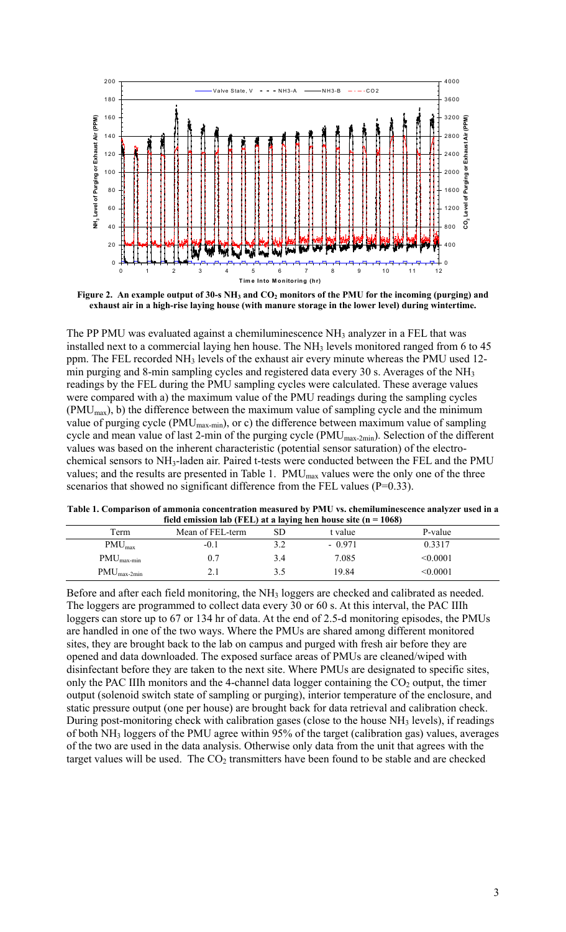

Figure 2. An example output of 30-s NH<sub>3</sub> and CO<sub>2</sub> monitors of the PMU for the incoming (purging) and **exhaust air in a high-rise laying house (with manure storage in the lower level) during wintertime.** 

The PP PMU was evaluated against a chemiluminescence NH<sub>3</sub> analyzer in a FEL that was installed next to a commercial laying hen house. The NH<sub>3</sub> levels monitored ranged from 6 to 45 ppm. The FEL recorded NH<sub>3</sub> levels of the exhaust air every minute whereas the PMU used 12min purging and 8-min sampling cycles and registered data every 30 s. Averages of the NH<sub>3</sub> readings by the FEL during the PMU sampling cycles were calculated. These average values were compared with a) the maximum value of the PMU readings during the sampling cycles  $(PMU<sub>max</sub>)$ , b) the difference between the maximum value of sampling cycle and the minimum value of purging cycle (PMU<sub>max-min</sub>), or c) the difference between maximum value of sampling cycle and mean value of last 2-min of the purging cycle (PMUmax-2min). Selection of the different values was based on the inherent characteristic (potential sensor saturation) of the electrochemical sensors to NH3-laden air. Paired t-tests were conducted between the FEL and the PMU values; and the results are presented in Table 1. PMU<sub>max</sub> values were the only one of the three scenarios that showed no significant difference from the FEL values (P=0.33).

**Table 1. Comparison of ammonia concentration measured by PMU vs. chemiluminescence analyzer used in a**  <sup>e</sup>mission lab (FEL) at a laying h

| $\mu$ in the control of $\mu$ and $\mu$ and $\mu$ and $\mu$ is a raying from nouse site (if $\mu$ = 1000) |                  |     |          |          |  |
|-----------------------------------------------------------------------------------------------------------|------------------|-----|----------|----------|--|
| Term                                                                                                      | Mean of FEL-term |     | t value  | P-value  |  |
| $PMU_{max}$                                                                                               | -0.1             |     | $-0.971$ | 0.3317   |  |
| $PMU_{\text{max-min}}$                                                                                    | 0.7              | 3.4 | 7.085    | < 0.0001 |  |
| $PMU_{\text{max-2min}}$                                                                                   |                  |     | 19.84    | < 0.0001 |  |

Before and after each field monitoring, the NH<sub>3</sub> loggers are checked and calibrated as needed. The loggers are programmed to collect data every 30 or 60 s. At this interval, the PAC IIIh loggers can store up to 67 or 134 hr of data. At the end of 2.5-d monitoring episodes, the PMUs are handled in one of the two ways. Where the PMUs are shared among different monitored sites, they are brought back to the lab on campus and purged with fresh air before they are opened and data downloaded. The exposed surface areas of PMUs are cleaned/wiped with disinfectant before they are taken to the next site. Where PMUs are designated to specific sites, only the PAC IIIh monitors and the 4-channel data logger containing the  $CO<sub>2</sub>$  output, the timer output (solenoid switch state of sampling or purging), interior temperature of the enclosure, and static pressure output (one per house) are brought back for data retrieval and calibration check. During post-monitoring check with calibration gases (close to the house  $NH<sub>3</sub>$  levels), if readings of both NH3 loggers of the PMU agree within 95% of the target (calibration gas) values, averages of the two are used in the data analysis. Otherwise only data from the unit that agrees with the target values will be used. The  $CO<sub>2</sub>$  transmitters have been found to be stable and are checked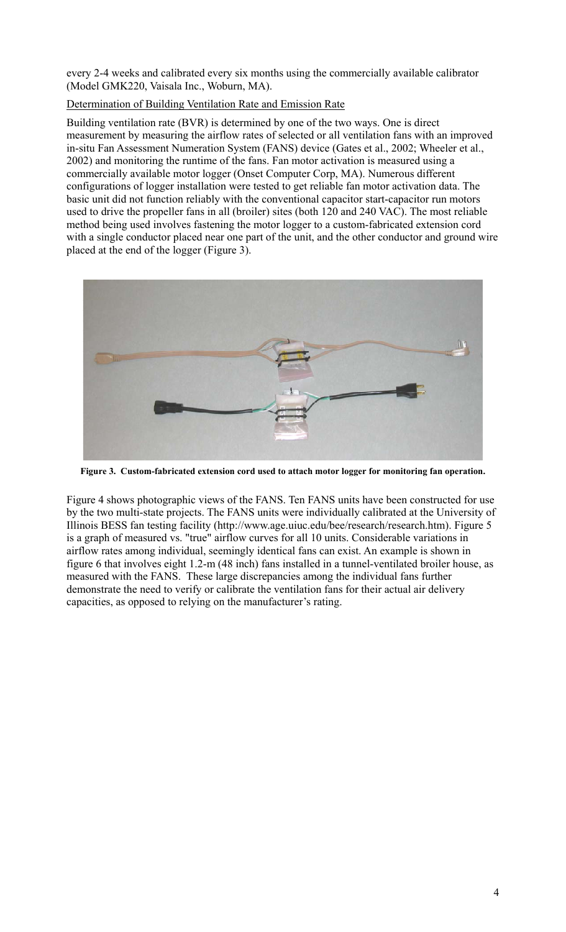every 2-4 weeks and calibrated every six months using the commercially available calibrator (Model GMK220, Vaisala Inc., Woburn, MA).

# Determination of Building Ventilation Rate and Emission Rate

Building ventilation rate (BVR) is determined by one of the two ways. One is direct measurement by measuring the airflow rates of selected or all ventilation fans with an improved in-situ Fan Assessment Numeration System (FANS) device (Gates et al., 2002; Wheeler et al., 2002) and monitoring the runtime of the fans. Fan motor activation is measured using a commercially available motor logger (Onset Computer Corp, MA). Numerous different configurations of logger installation were tested to get reliable fan motor activation data. The basic unit did not function reliably with the conventional capacitor start-capacitor run motors used to drive the propeller fans in all (broiler) sites (both 120 and 240 VAC). The most reliable method being used involves fastening the motor logger to a custom-fabricated extension cord with a single conductor placed near one part of the unit, and the other conductor and ground wire placed at the end of the logger (Figure 3).



**Figure 3. Custom-fabricated extension cord used to attach motor logger for monitoring fan operation.** 

Figure 4 shows photographic views of the FANS. Ten FANS units have been constructed for use by the two multi-state projects. The FANS units were individually calibrated at the University of Illinois BESS fan testing facility (http://www.age.uiuc.edu/bee/research/research.htm). Figure 5 is a graph of measured vs. "true" airflow curves for all 10 units. Considerable variations in airflow rates among individual, seemingly identical fans can exist. An example is shown in figure 6 that involves eight 1.2-m (48 inch) fans installed in a tunnel-ventilated broiler house, as measured with the FANS. These large discrepancies among the individual fans further demonstrate the need to verify or calibrate the ventilation fans for their actual air delivery capacities, as opposed to relying on the manufacturer's rating.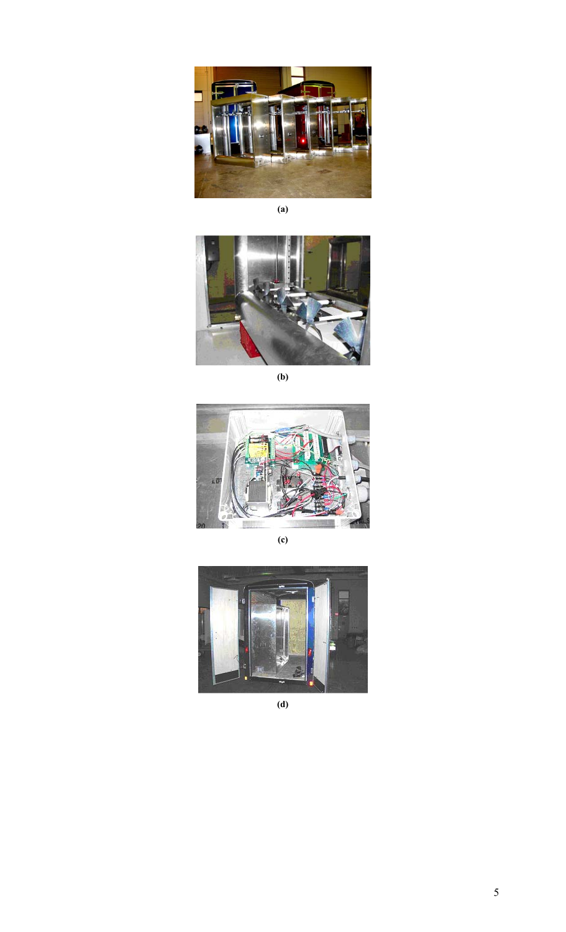

**(a)** 



**(b)** 



**(c)** 



**(d)**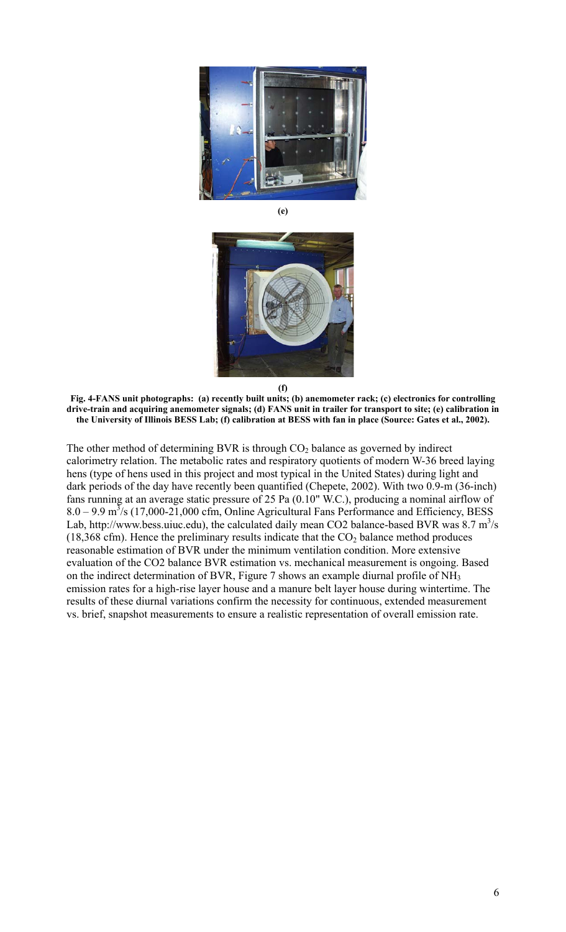

**(e)** 



**Fig. 4-FANS unit photographs: (a) recently built units; (b) anemometer rack; (c) electronics for controlling drive-train and acquiring anemometer signals; (d) FANS unit in trailer for transport to site; (e) calibration in the University of Illinois BESS Lab; (f) calibration at BESS with fan in place (Source: Gates et al., 2002).** 

The other method of determining BVR is through  $CO<sub>2</sub>$  balance as governed by indirect calorimetry relation. The metabolic rates and respiratory quotients of modern W-36 breed laying hens (type of hens used in this project and most typical in the United States) during light and dark periods of the day have recently been quantified (Chepete, 2002). With two 0.9-m (36-inch) fans running at an average static pressure of 25 Pa (0.10" W.C.), producing a nominal airflow of  $8.0 - 9.9$  m<sup>3</sup>/s (17,000-21,000 cfm, Online Agricultural Fans Performance and Efficiency, BESS Lab, http://www.bess.uiuc.edu), the calculated daily mean CO2 balance-based BVR was  $8.7 \text{ m}^3/\text{s}$ (18,368 cfm). Hence the preliminary results indicate that the  $CO<sub>2</sub>$  balance method produces reasonable estimation of BVR under the minimum ventilation condition. More extensive evaluation of the CO2 balance BVR estimation vs. mechanical measurement is ongoing. Based on the indirect determination of BVR, Figure 7 shows an example diurnal profile of NH3 emission rates for a high-rise layer house and a manure belt layer house during wintertime. The results of these diurnal variations confirm the necessity for continuous, extended measurement vs. brief, snapshot measurements to ensure a realistic representation of overall emission rate.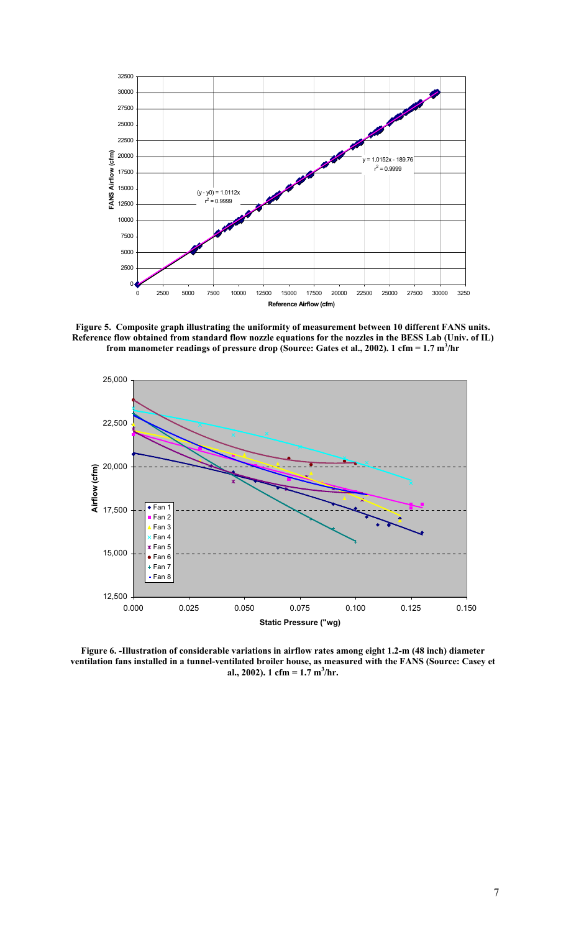

**Figure 5. Composite graph illustrating the uniformity of measurement between 10 different FANS units. Reference flow obtained from standard flow nozzle equations for the nozzles in the BESS Lab (Univ. of IL) from manometer readings of pressure drop (Source: Gates et al., 2002). 1 cfm = 1.7 m<sup>3</sup> /hr** 



**Figure 6. -Illustration of considerable variations in airflow rates among eight 1.2-m (48 inch) diameter ventilation fans installed in a tunnel-ventilated broiler house, as measured with the FANS (Source: Casey et al., 2002). 1 cfm = 1.7 m<sup>3</sup> /hr.**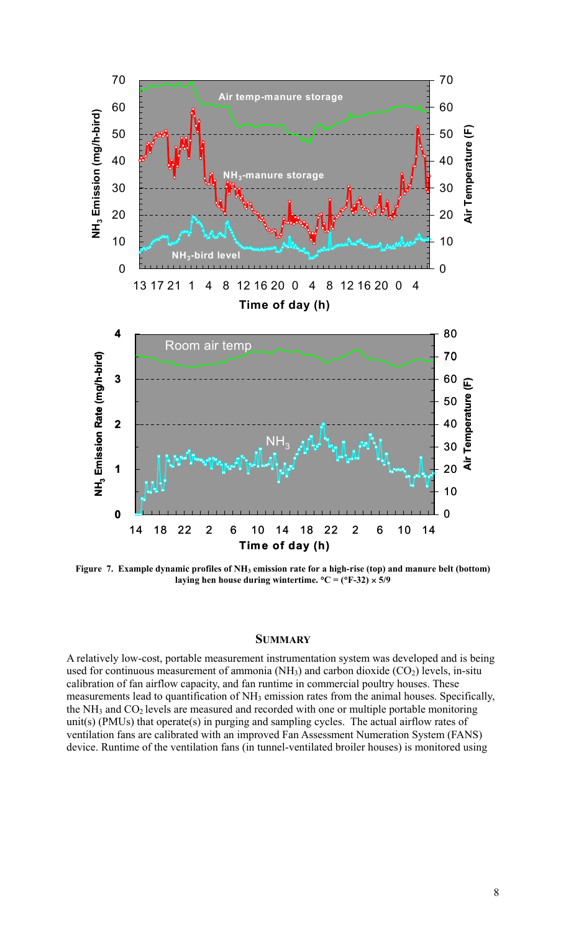

Figure 7. Example dynamic profiles of NH<sub>3</sub> emission rate for a high-rise (top) and manure belt (bottom) laying hen house during wintertime.  ${}^{\circ}C = ({}^{\circ}F-32) \times 5/9$ 

#### **SUMMARY**

A relatively low-cost, portable measurement instrumentation system was developed and is being used for continuous measurement of ammonia  $(NH_3)$  and carbon dioxide  $(CO_2)$  levels, in-situ calibration of fan airflow capacity, and fan runtime in commercial poultry houses. These measurements lead to quantification of NH<sub>3</sub> emission rates from the animal houses. Specifically, the NH<sub>3</sub> and CO<sub>2</sub> levels are measured and recorded with one or multiple portable monitoring unit(s) (PMUs) that operate(s) in purging and sampling cycles. The actual airflow rates of ventilation fans are calibrated with an improved Fan Assessment Numeration System (FANS) device. Runtime of the ventilation fans (in tunnel-ventilated broiler houses) is monitored using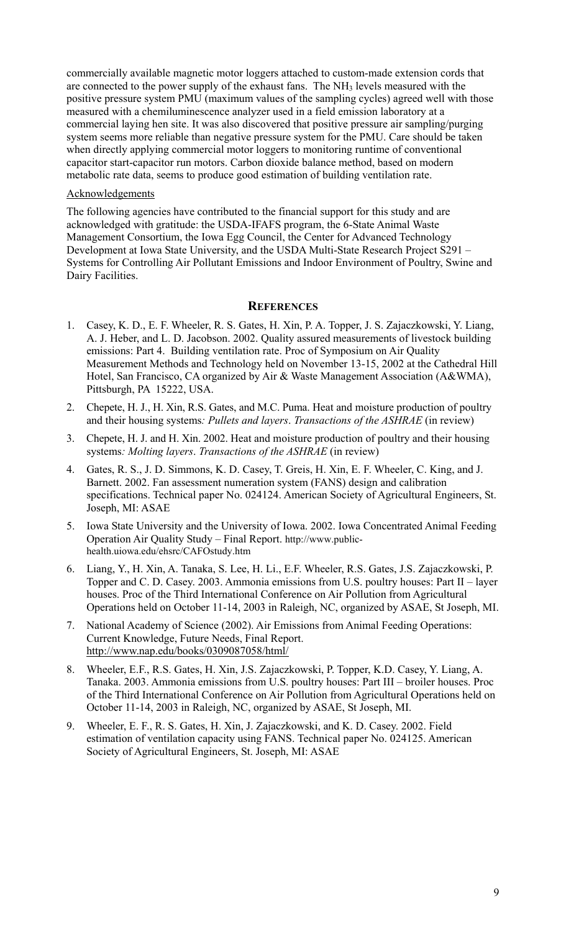commercially available magnetic motor loggers attached to custom-made extension cords that are connected to the power supply of the exhaust fans. The NH<sub>3</sub> levels measured with the positive pressure system PMU (maximum values of the sampling cycles) agreed well with those measured with a chemiluminescence analyzer used in a field emission laboratory at a commercial laying hen site. It was also discovered that positive pressure air sampling/purging system seems more reliable than negative pressure system for the PMU. Care should be taken when directly applying commercial motor loggers to monitoring runtime of conventional capacitor start-capacitor run motors. Carbon dioxide balance method, based on modern metabolic rate data, seems to produce good estimation of building ventilation rate.

#### Acknowledgements

The following agencies have contributed to the financial support for this study and are acknowledged with gratitude: the USDA-IFAFS program, the 6-State Animal Waste Management Consortium, the Iowa Egg Council, the Center for Advanced Technology Development at Iowa State University, and the USDA Multi-State Research Project S291 – Systems for Controlling Air Pollutant Emissions and Indoor Environment of Poultry, Swine and Dairy Facilities.

## **REFERENCES**

- 1. Casey, K. D., E. F. Wheeler, R. S. Gates, H. Xin, P. A. Topper, J. S. Zajaczkowski, Y. Liang, A. J. Heber, and L. D. Jacobson. 2002. Quality assured measurements of livestock building emissions: Part 4. Building ventilation rate. Proc of Symposium on Air Quality Measurement Methods and Technology held on November 13-15, 2002 at the Cathedral Hill Hotel, San Francisco, CA organized by Air & Waste Management Association (A&WMA), Pittsburgh, PA 15222, USA.
- 2. Chepete, H. J., H. Xin, R.S. Gates, and M.C. Puma. Heat and moisture production of poultry and their housing systems*: Pullets and layers*. *Transactions of the ASHRAE* (in review)
- 3. Chepete, H. J. and H. Xin. 2002. Heat and moisture production of poultry and their housing systems*: Molting layers*. *Transactions of the ASHRAE* (in review)
- 4. Gates, R. S., J. D. Simmons, K. D. Casey, T. Greis, H. Xin, E. F. Wheeler, C. King, and J. Barnett. 2002. Fan assessment numeration system (FANS) design and calibration specifications. Technical paper No. 024124. American Society of Agricultural Engineers, St. Joseph, MI: ASAE
- 5. Iowa State University and the University of Iowa. 2002. Iowa Concentrated Animal Feeding Operation Air Quality Study – Final Report. http://www.publichealth.uiowa.edu/ehsrc/CAFOstudy.htm
- 6. Liang, Y., H. Xin, A. Tanaka, S. Lee, H. Li., E.F. Wheeler, R.S. Gates, J.S. Zajaczkowski, P. Topper and C. D. Casey. 2003. Ammonia emissions from U.S. poultry houses: Part II – layer houses. Proc of the Third International Conference on Air Pollution from Agricultural Operations held on October 11-14, 2003 in Raleigh, NC, organized by ASAE, St Joseph, MI.
- 7. National Academy of Science (2002). Air Emissions from Animal Feeding Operations: Current Knowledge, Future Needs, Final Report. http://www.nap.edu/books/0309087058/html/
- 8. Wheeler, E.F., R.S. Gates, H. Xin, J.S. Zajaczkowski, P. Topper, K.D. Casey, Y. Liang, A. Tanaka. 2003. Ammonia emissions from U.S. poultry houses: Part III – broiler houses. Proc of the Third International Conference on Air Pollution from Agricultural Operations held on October 11-14, 2003 in Raleigh, NC, organized by ASAE, St Joseph, MI.
- 9. Wheeler, E. F., R. S. Gates, H. Xin, J. Zajaczkowski, and K. D. Casey. 2002. Field estimation of ventilation capacity using FANS. Technical paper No. 024125. American Society of Agricultural Engineers, St. Joseph, MI: ASAE